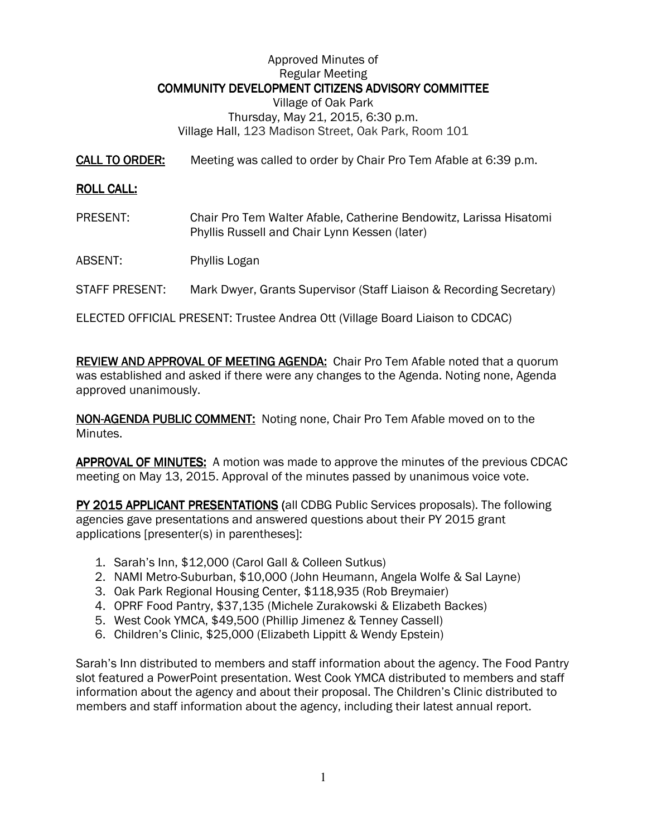### Approved Minutes of Regular Meeting COMMUNITY DEVELOPMENT CITIZENS ADVISORY COMMITTEE Village of Oak Park Thursday, May 21, 2015, 6:30 p.m. Village Hall, 123 Madison Street, Oak Park, Room 101

CALL TO ORDER: Meeting was called to order by Chair Pro Tem Afable at 6:39 p.m.

#### **ROLL CALL:**

- PRESENT: Chair Pro Tem Walter Afable, Catherine Bendowitz, Larissa Hisatomi Phyllis Russell and Chair Lynn Kessen (later)
- ABSENT: Phyllis Logan
- STAFF PRESENT: Mark Dwyer, Grants Supervisor (Staff Liaison & Recording Secretary)

ELECTED OFFICIAL PRESENT: Trustee Andrea Ott (Village Board Liaison to CDCAC)

REVIEW AND APPROVAL OF MEETING AGENDA: Chair Pro Tem Afable noted that a quorum was established and asked if there were any changes to the Agenda. Noting none, Agenda approved unanimously.

NON-AGENDA PUBLIC COMMENT: Noting none, Chair Pro Tem Afable moved on to the Minutes.

APPROVAL OF MINUTES: A motion was made to approve the minutes of the previous CDCAC meeting on May 13, 2015. Approval of the minutes passed by unanimous voice vote.

PY 2015 APPLICANT PRESENTATIONS (all CDBG Public Services proposals). The following agencies gave presentations and answered questions about their PY 2015 grant applications [presenter(s) in parentheses]:

- 1. Sarah's Inn, \$12,000 (Carol Gall & Colleen Sutkus)
- 2. NAMI Metro-Suburban, \$10,000 (John Heumann, Angela Wolfe & Sal Layne)
- 3. Oak Park Regional Housing Center, \$118,935 (Rob Breymaier)
- 4. OPRF Food Pantry, \$37,135 (Michele Zurakowski & Elizabeth Backes)
- 5. West Cook YMCA, \$49,500 (Phillip Jimenez & Tenney Cassell)
- 6. Children's Clinic, \$25,000 (Elizabeth Lippitt & Wendy Epstein)

Sarah's Inn distributed to members and staff information about the agency. The Food Pantry slot featured a PowerPoint presentation. West Cook YMCA distributed to members and staff information about the agency and about their proposal. The Children's Clinic distributed to members and staff information about the agency, including their latest annual report.